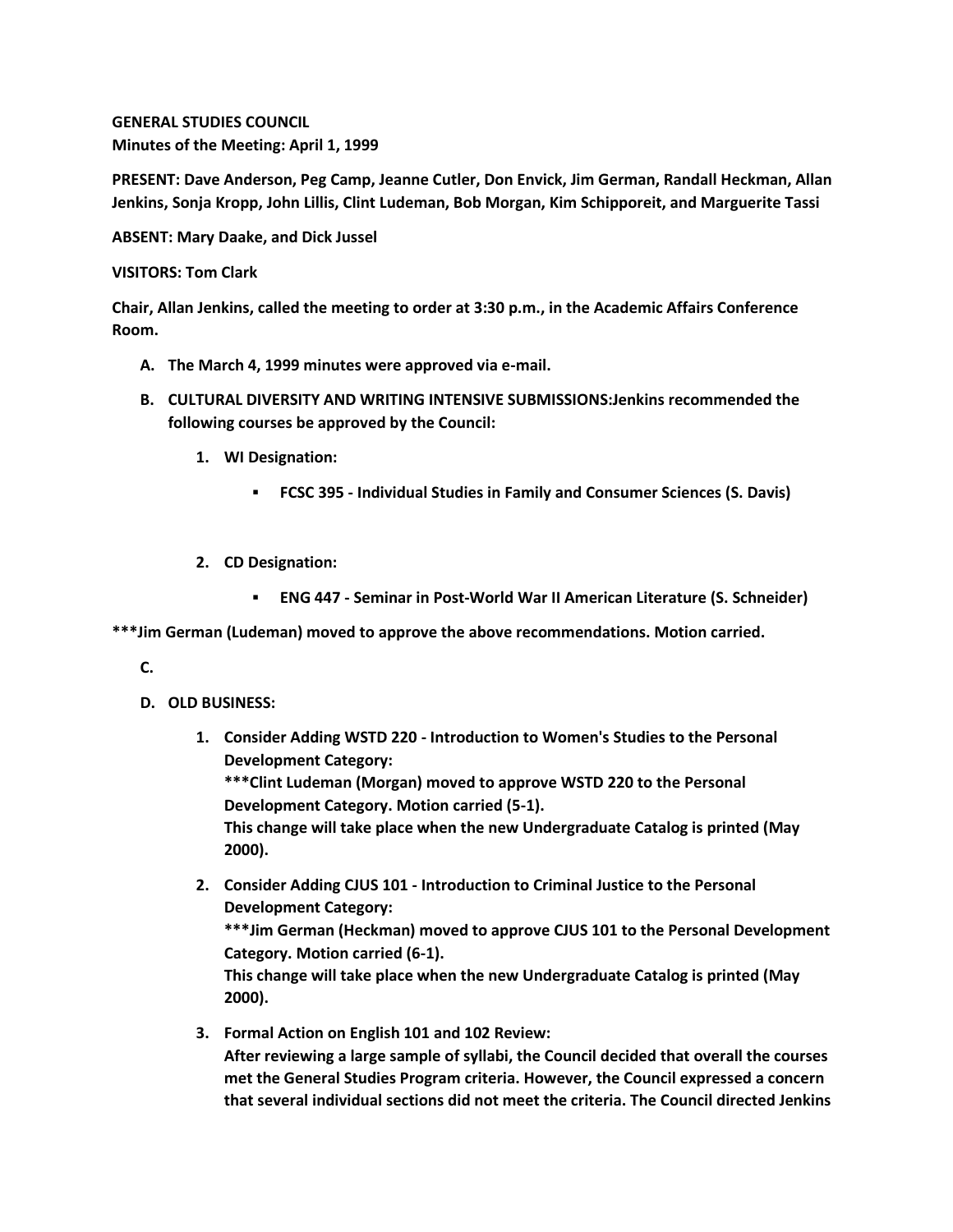**GENERAL STUDIES COUNCIL Minutes of the Meeting: April 1, 1999**

**PRESENT: Dave Anderson, Peg Camp, Jeanne Cutler, Don Envick, Jim German, Randall Heckman, Allan Jenkins, Sonja Kropp, John Lillis, Clint Ludeman, Bob Morgan, Kim Schipporeit, and Marguerite Tassi**

**ABSENT: Mary Daake, and Dick Jussel**

**VISITORS: Tom Clark**

**Chair, Allan Jenkins, called the meeting to order at 3:30 p.m., in the Academic Affairs Conference Room.**

- **A. The March 4, 1999 minutes were approved via e-mail.**
- **B. CULTURAL DIVERSITY AND WRITING INTENSIVE SUBMISSIONS:Jenkins recommended the following courses be approved by the Council:** 
	- **1. WI Designation:** 
		- **FCSC 395 - Individual Studies in Family and Consumer Sciences (S. Davis)**
	- **2. CD Designation:** 
		- **ENG 447 - Seminar in Post-World War II American Literature (S. Schneider)**

**\*\*\*Jim German (Ludeman) moved to approve the above recommendations. Motion carried.**

**C.**

- **D. OLD BUSINESS:** 
	- **1. Consider Adding WSTD 220 - Introduction to Women's Studies to the Personal Development Category:**

**\*\*\*Clint Ludeman (Morgan) moved to approve WSTD 220 to the Personal Development Category. Motion carried (5-1).**

**This change will take place when the new Undergraduate Catalog is printed (May 2000).**

- **2. Consider Adding CJUS 101 - Introduction to Criminal Justice to the Personal Development Category: \*\*\*Jim German (Heckman) moved to approve CJUS 101 to the Personal Development Category. Motion carried (6-1). This change will take place when the new Undergraduate Catalog is printed (May 2000).**
- **3. Formal Action on English 101 and 102 Review: After reviewing a large sample of syllabi, the Council decided that overall the courses met the General Studies Program criteria. However, the Council expressed a concern that several individual sections did not meet the criteria. The Council directed Jenkins**